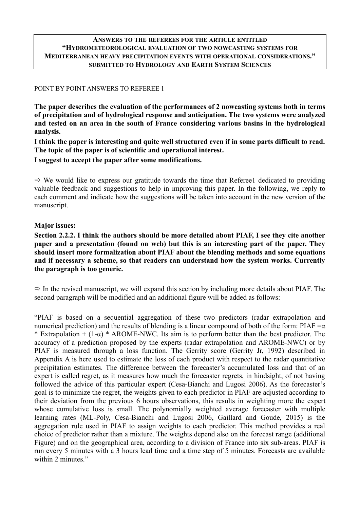### **ANSWERS TO THE REFEREES FOR THE ARTICLE ENTITLED "HYDROMETEOROLOGICAL EVALUATION OF TWO NOWCASTING SYSTEMS FOR MEDITERRANEAN HEAVY PRECIPITATION EVENTS WITH OPERATIONAL CONSIDERATIONS." SUBMITTED TO HYDROLOGY AND EARTH SYSTEM SCIENCES**

### POINT BY POINT ANSWERS TO REFEREE 1

**The paper describes the evaluation of the performances of 2 nowcasting systems both in terms of precipitation and of hydrological response and anticipation. The two systems were analyzed and tested on an area in the south of France considering various basins in the hydrological analysis.**

**I think the paper is interesting and quite well structured even if in some parts difficult to read. The topic of the paper is of scientific and operational interest.**

**I suggest to accept the paper after some modifications.**

 $\Rightarrow$  We would like to express our gratitude towards the time that Referee1 dedicated to providing valuable feedback and suggestions to help in improving this paper. In the following, we reply to each comment and indicate how the suggestions will be taken into account in the new version of the manuscript.

### **Major issues:**

**Section 2.2.2. I think the authors should be more detailed about PIAF, I see they cite another paper and a presentation (found on web) but this is an interesting part of the paper. They should insert more formalization about PIAF about the blending methods and some equations and if necessary a scheme, so that readers can understand how the system works. Currently the paragraph is too generic.**

 $\Rightarrow$  In the revised manuscript, we will expand this section by including more details about PIAF. The second paragraph will be modified and an additional figure will be added as follows:

"PIAF is based on a sequential aggregation of these two predictors (radar extrapolation and numerical prediction) and the results of blending is a linear compound of both of the form: PIAF  $=\alpha$ \* Extrapolation +  $(1-\alpha)$  \* AROME-NWC. Its aim is to perform better than the best predictor. The accuracy of a prediction proposed by the experts (radar extrapolation and AROME-NWC) or by PIAF is measured through a loss function. The Gerrity score (Gerrity Jr, 1992) described in Appendix A is here used to estimate the loss of each product with respect to the radar quantitative precipitation estimates. The difference between the forecaster's accumulated loss and that of an expert is called regret, as it measures how much the forecaster regrets, in hindsight, of not having followed the advice of this particular expert (Cesa-Bianchi and Lugosi 2006). As the forecaster's goal is to minimize the regret, the weights given to each predictor in PIAF are adjusted according to their deviation from the previous 6 hours observations, this results in weighting more the expert whose cumulative loss is small. The polynomially weighted average forecaster with multiple learning rates (ML-Poly, Cesa-Bianchi and Lugosi 2006, Gaillard and Goude, 2015) is the aggregation rule used in PIAF to assign weights to each predictor. This method provides a real choice of predictor rather than a mixture. The weights depend also on the forecast range (additional Figure) and on the geographical area, according to a division of France into six sub-areas. PIAF is run every 5 minutes with a 3 hours lead time and a time step of 5 minutes. Forecasts are available within 2 minutes."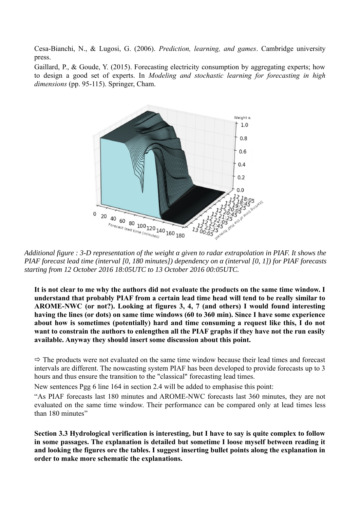Cesa-Bianchi, N., & Lugosi, G. (2006). *Prediction, learning, and games*. Cambridge university press.

Gaillard, P., & Goude, Y. (2015). Forecasting electricity consumption by aggregating experts; how to design a good set of experts. In *Modeling and stochastic learning for forecasting in high dimensions* (pp. 95-115). Springer, Cham.



*Additional figure : 3-D representation of the weight α given to radar extrapolation in PIAF. It shows the PIAF forecast lead time (interval [0, 180 minutes]) dependency on α (interval [0, 1]) for PIAF forecasts starting from 12 October 2016 18:05UTC to 13 October 2016 00:05UTC.*

**It is not clear to me why the authors did not evaluate the products on the same time window. I understand that probably PIAF from a certain lead time head will tend to be really similar to AROME-NWC (or not?). Looking at figures 3, 4, 7 (and others) I would found interesting having the lines (or dots) on same time windows (60 to 360 min). Since I have some experience about how is sometimes (potentially) hard and time consuming a request like this, I do not want to constrain the authors to enlengthen all the PIAF graphs if they have not the run easily available. Anyway they should insert some discussion about this point.**

 $\Rightarrow$  The products were not evaluated on the same time window because their lead times and forecast intervals are different. The nowcasting system PIAF has been developed to provide forecasts up to 3 hours and thus ensure the transition to the "classical" forecasting lead times.

New sentences Pgg 6 line 164 in section 2.4 will be added to emphasise this point:

"As PIAF forecasts last 180 minutes and AROME-NWC forecasts last 360 minutes, they are not evaluated on the same time window. Their performance can be compared only at lead times less than 180 minutes"

**Section 3.3 Hydrological verification is interesting, but I have to say is quite complex to follow in some passages. The explanation is detailed but sometime I loose myself between reading it and looking the figures ore the tables. I suggest inserting bullet points along the explanation in order to make more schematic the explanations.**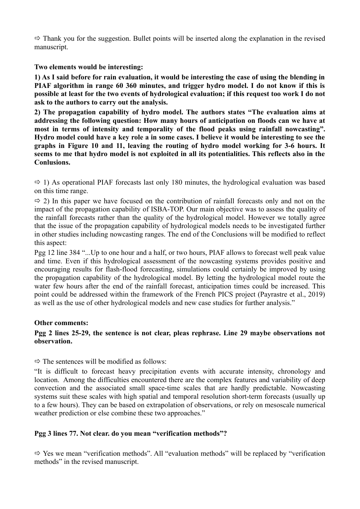$\Rightarrow$  Thank you for the suggestion. Bullet points will be inserted along the explanation in the revised manuscript.

**Two elements would be interesting:**

**1) As I said before for rain evaluation, it would be interesting the case of using the blending in PIAF algorithm in range 60 360 minutes, and trigger hydro model. I do not know if this is possible at least for the two events of hydrological evaluation; if this request too work I do not ask to the authors to carry out the analysis.**

**2) The propagation capability of hydro model. The authors states "The evaluation aims at addressing the following question: How many hours of anticipation on floods can we have at most in terms of intensity and temporality of the flood peaks using rainfall nowcasting". Hydro model could have a key role a in some cases. I believe it would be interesting to see the graphs in Figure 10 and 11, leaving the routing of hydro model working for 3-6 hours. It seems to me that hydro model is not exploited in all its potentialities. This reflects also in the Conlusions.**

 $\Rightarrow$  1) As operational PIAF forecasts last only 180 minutes, the hydrological evaluation was based on this time range.

 $\Rightarrow$  2) In this paper we have focused on the contribution of rainfall forecasts only and not on the impact of the propagation capability of ISBA-TOP. Our main objective was to assess the quality of the rainfall forecasts rather than the quality of the hydrological model. However we totally agree that the issue of the propagation capability of hydrological models needs to be investigated further in other studies including nowcasting ranges. The end of the Conclusions will be modified to reflect this aspect:

Pgg 12 line 384 "...Up to one hour and a half, or two hours, PIAF allows to forecast well peak value and time. Even if this hydrological assessment of the nowcasting systems provides positive and encouraging results for flash-flood forecasting, simulations could certainly be improved by using the propagation capability of the hydrological model. By letting the hydrological model route the water few hours after the end of the rainfall forecast, anticipation times could be increased. This point could be addressed within the framework of the French PICS project (Payrastre et al., 2019) as well as the use of other hydrological models and new case studies for further analysis."

### **Other comments:**

## **Pgg 2 lines 25-29, the sentence is not clear, pleas rephrase. Line 29 maybe observations not observation.**

 $\Rightarrow$  The sentences will be modified as follows:

"It is difficult to forecast heavy precipitation events with accurate intensity, chronology and location. Among the difficulties encountered there are the complex features and variability of deep convection and the associated small space-time scales that are hardly predictable. Nowcasting systems suit these scales with high spatial and temporal resolution short-term forecasts (usually up to a few hours). They can be based on extrapolation of observations, or rely on mesoscale numerical weather prediction or else combine these two approaches."

### **Pgg 3 lines 77. Not clear. do you mean "verification methods"?**

 $\Rightarrow$  Yes we mean "verification methods". All "evaluation methods" will be replaced by "verification" methods" in the revised manuscript.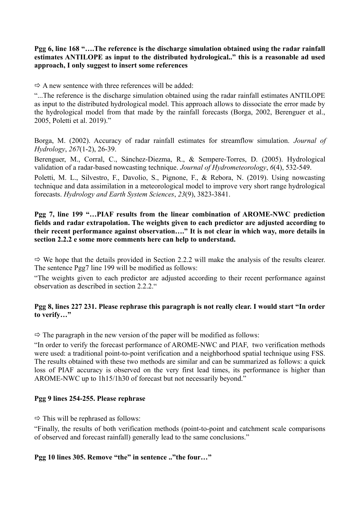## **Pgg 6, line 168 "….The reference is the discharge simulation obtained using the radar rainfall estimates ANTILOPE as input to the distributed hydrological.." this is a reasonable ad used approach, I only suggest to insert some references**

 $\Rightarrow$  A new sentence with three references will be added:

"...The reference is the discharge simulation obtained using the radar rainfall estimates ANTILOPE as input to the distributed hydrological model. This approach allows to dissociate the error made by the hydrological model from that made by the rainfall forecasts (Borga, 2002, Berenguer et al., 2005, Poletti et al. 2019)."

Borga, M. (2002). Accuracy of radar rainfall estimates for streamflow simulation. *Journal of Hydrology*, *267*(1-2), 26-39.

Berenguer, M., Corral, C., Sánchez-Diezma, R., & Sempere-Torres, D. (2005). Hydrological validation of a radar-based nowcasting technique. *Journal of Hydrometeorology*, *6*(4), 532-549.

Poletti, M. L., Silvestro, F., Davolio, S., Pignone, F., & Rebora, N. (2019). Using nowcasting technique and data assimilation in a meteorological model to improve very short range hydrological forecasts. *Hydrology and Earth System Sciences*, *23*(9), 3823-3841.

## **Pgg 7, line 199 "…PIAF results from the linear combination of AROME-NWC prediction fields and radar extrapolation. The weights given to each predictor are adjusted according to their recent performance against observation…." It is not clear in which way, more details in section 2.2.2 e some more comments here can help to understand.**

 $\Rightarrow$  We hope that the details provided in Section 2.2.2 will make the analysis of the results clearer. The sentence Pgg7 line 199 will be modified as follows:

"The weights given to each predictor are adjusted according to their recent performance against observation as described in section 2.2.2."

# **Pgg 8, lines 227 231. Please rephrase this paragraph is not really clear. I would start "In order to verify…"**

 $\Rightarrow$  The paragraph in the new version of the paper will be modified as follows:

"In order to verify the forecast performance of AROME-NWC and PIAF, two verification methods were used: a traditional point-to-point verification and a neighborhood spatial technique using FSS. The results obtained with these two methods are similar and can be summarized as follows: a quick loss of PIAF accuracy is observed on the very first lead times, its performance is higher than AROME-NWC up to 1h15/1h30 of forecast but not necessarily beyond."

## **Pgg 9 lines 254-255. Please rephrase**

 $\Rightarrow$  This will be rephrased as follows:

"Finally, the results of both verification methods (point-to-point and catchment scale comparisons of observed and forecast rainfall) generally lead to the same conclusions."

## **Pgg 10 lines 305. Remove "the" in sentence .."the four…"**